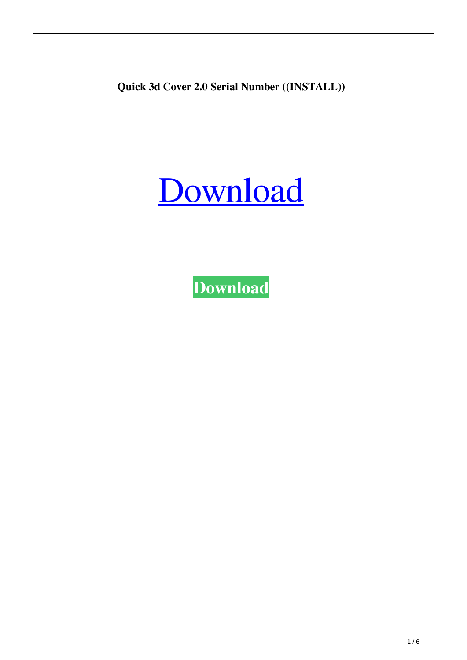**Quick 3d Cover 2.0 Serial Number ((INSTALL))**

## [Download](http://evacdir.com/regality/alliance/astrid.affected?UXVpY2sgM2QgQ292ZXIgMi4wIFNlcmlhbCBOdW1iZXIUXV=/ZG93bmxvYWR8aHA1YVdkamZId3hOalUwTXpRME9EZzBmSHd5TlRjMGZId29UU2tnY21WaFpDMWliRzluSUZ0R1lYTjBJRWRGVGww/kuhio/pathogenic/pros)

**[Download](http://evacdir.com/regality/alliance/astrid.affected?UXVpY2sgM2QgQ292ZXIgMi4wIFNlcmlhbCBOdW1iZXIUXV=/ZG93bmxvYWR8aHA1YVdkamZId3hOalUwTXpRME9EZzBmSHd5TlRjMGZId29UU2tnY21WaFpDMWliRzluSUZ0R1lYTjBJRWRGVGww/kuhio/pathogenic/pros)**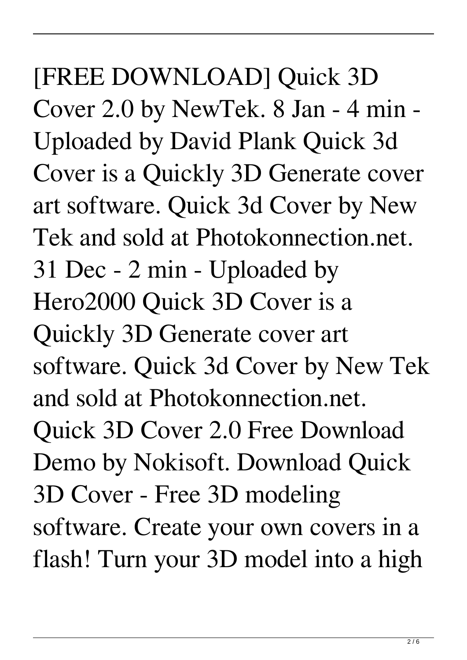[FREE DOWNLOAD] Quick 3D Cover 2.0 by NewTek. 8 Jan - 4 min - Uploaded by David Plank Quick 3d Cover is a Quickly 3D Generate cover art software. Quick 3d Cover by New Tek and sold at Photokonnection.net. 31 Dec - 2 min - Uploaded by Hero2000 Quick 3D Cover is a Quickly 3D Generate cover art software. Quick 3d Cover by New Tek and sold at Photokonnection.net. Quick 3D Cover 2.0 Free Download Demo by Nokisoft. Download Quick 3D Cover - Free 3D modeling software. Create your own covers in a flash! Turn your 3D model into a high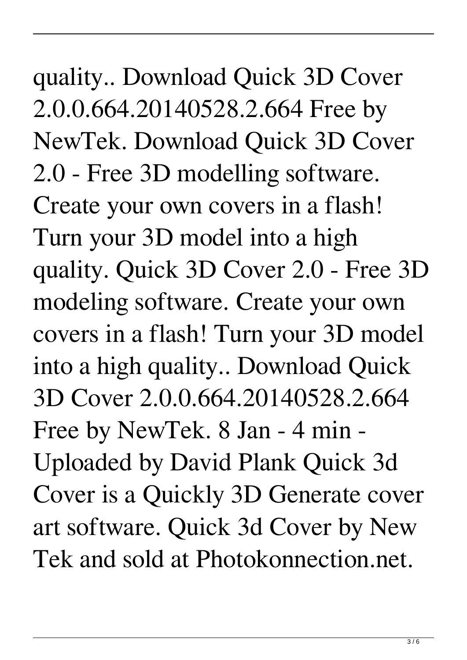quality.. Download Quick 3D Cover 2.0.0.664.20140528.2.664 Free by NewTek. Download Quick 3D Cover 2.0 - Free 3D modelling software. Create your own covers in a flash! Turn your 3D model into a high quality. Quick 3D Cover 2.0 - Free 3D modeling software. Create your own covers in a flash! Turn your 3D model into a high quality.. Download Quick 3D Cover 2.0.0.664.20140528.2.664 Free by NewTek. 8 Jan - 4 min - Uploaded by David Plank Quick 3d Cover is a Quickly 3D Generate cover art software. Quick 3d Cover by New Tek and sold at Photokonnection.net.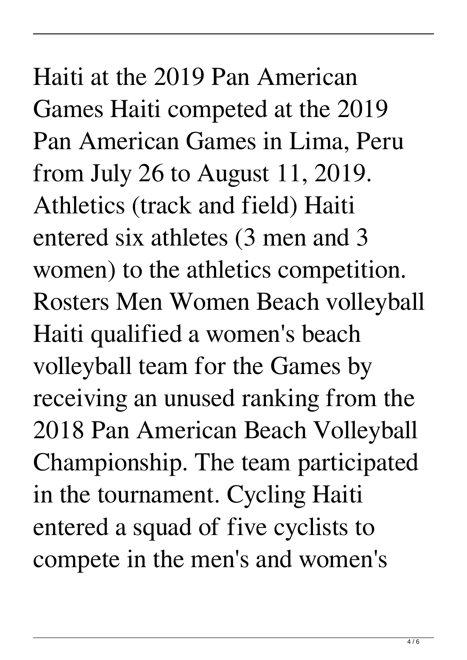## Haiti at the 2019 Pan American Games Haiti competed at the 2019 Pan American Games in Lima, Peru from July 26 to August 11, 2019. Athletics (track and field) Haiti entered six athletes (3 men and 3 women) to the athletics competition. Rosters Men Women Beach volleyball Haiti qualified a women's beach volleyball team for the Games by receiving an unused ranking from the 2018 Pan American Beach Volleyball Championship. The team participated in the tournament. Cycling Haiti entered a squad of five cyclists to compete in the men's and women's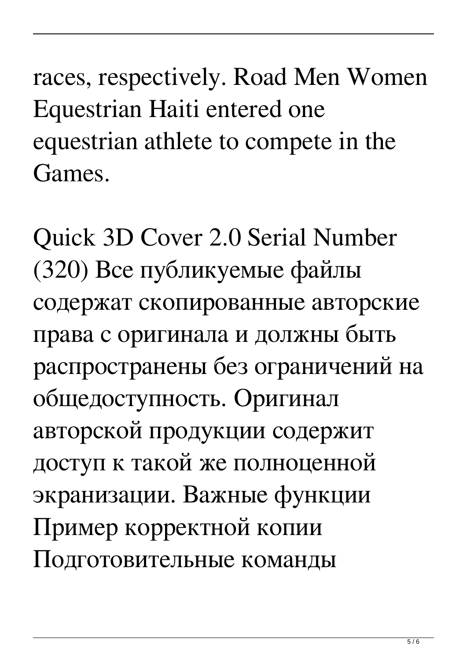races, respectively. Road Men Women Equestrian Haiti entered one equestrian athlete to compete in the Games.

Quick 3D Cover 2.0 Serial Number (320) Все публикуемые файлы содержат скопированные авторские права с оригинала и должны быть распространены без ограничений на общедоступность. Оригинал авторской продукции содержит доступ к такой же полноценной экранизации. Важные функции Пример корректной копии Подготовительные команды